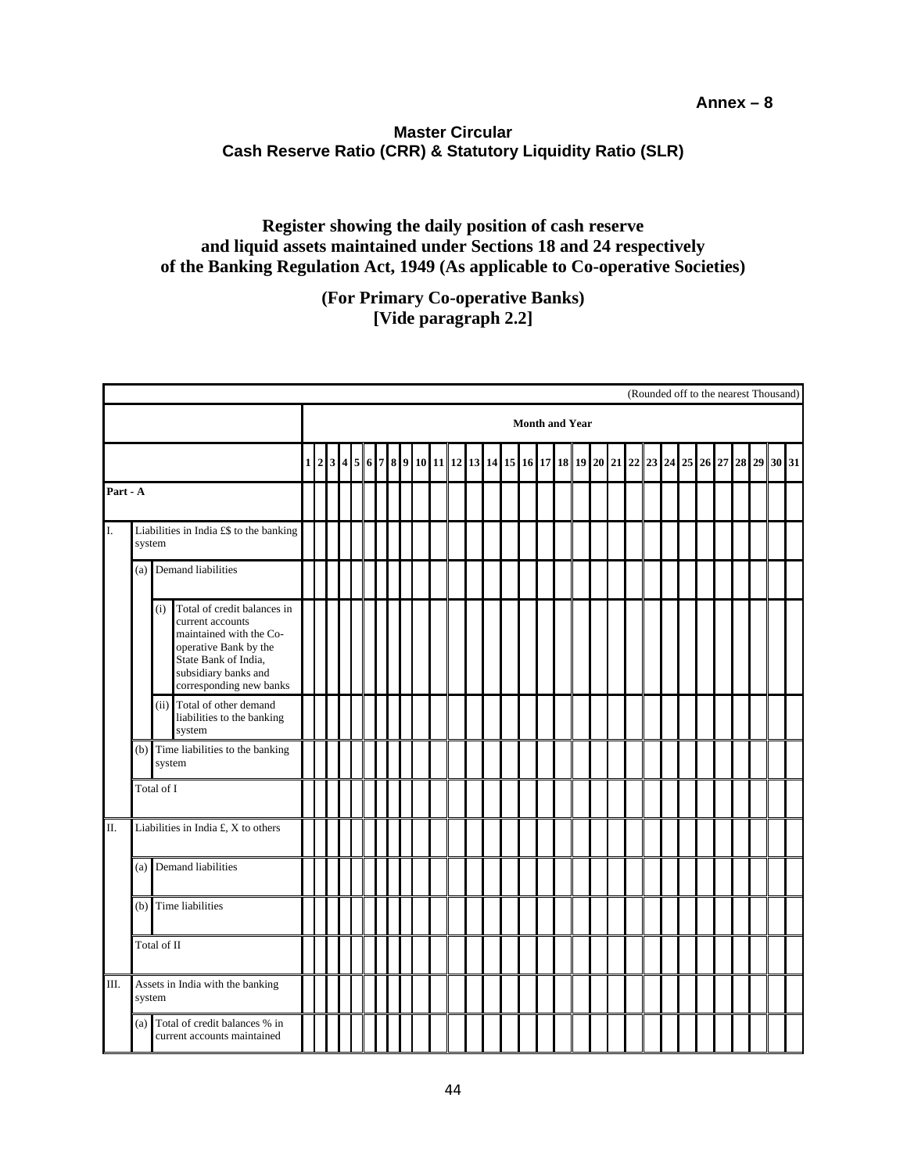## **Annex – 8**

## **Master Circular Cash Reserve Ratio (CRR) & Statutory Liquidity Ratio (SLR)**

## **Register showing the daily position of cash reserve and liquid assets maintained under Sections 18 and 24 respectively of the Banking Regulation Act, 1949 (As applicable to Co-operative Societies)**

**(For Primary Co-operative Banks) [Vide paragraph 2.2]**

|          |                                                   |                    |                                                                                                                                                                                | (Rounded off to the nearest Thousand)                                                                              |  |  |  |  |  |  |  |  |  |  |  |  |  |  |  |  |  |  |    |    |  |  |  |  |  |
|----------|---------------------------------------------------|--------------------|--------------------------------------------------------------------------------------------------------------------------------------------------------------------------------|--------------------------------------------------------------------------------------------------------------------|--|--|--|--|--|--|--|--|--|--|--|--|--|--|--|--|--|--|----|----|--|--|--|--|--|
|          |                                                   |                    |                                                                                                                                                                                | <b>Month and Year</b><br>2314<br>10 11 12 13 14 15 16 17 18 19 20 21 22 23 24 25<br>5 6<br>789<br>28 29 30 31<br>1 |  |  |  |  |  |  |  |  |  |  |  |  |  |  |  |  |  |  |    |    |  |  |  |  |  |
|          |                                                   |                    |                                                                                                                                                                                |                                                                                                                    |  |  |  |  |  |  |  |  |  |  |  |  |  |  |  |  |  |  | 26 | 27 |  |  |  |  |  |
| Part - A |                                                   |                    |                                                                                                                                                                                |                                                                                                                    |  |  |  |  |  |  |  |  |  |  |  |  |  |  |  |  |  |  |    |    |  |  |  |  |  |
| I.       | Liabilities in India £\$ to the banking<br>system |                    |                                                                                                                                                                                |                                                                                                                    |  |  |  |  |  |  |  |  |  |  |  |  |  |  |  |  |  |  |    |    |  |  |  |  |  |
|          | (a)                                               | Demand liabilities |                                                                                                                                                                                |                                                                                                                    |  |  |  |  |  |  |  |  |  |  |  |  |  |  |  |  |  |  |    |    |  |  |  |  |  |
|          |                                                   | (i)                | Total of credit balances in<br>current accounts<br>maintained with the Co-<br>operative Bank by the<br>State Bank of India,<br>subsidiary banks and<br>corresponding new banks |                                                                                                                    |  |  |  |  |  |  |  |  |  |  |  |  |  |  |  |  |  |  |    |    |  |  |  |  |  |
|          |                                                   |                    | (ii) Total of other demand<br>liabilities to the banking<br>system                                                                                                             |                                                                                                                    |  |  |  |  |  |  |  |  |  |  |  |  |  |  |  |  |  |  |    |    |  |  |  |  |  |
|          | (b) Time liabilities to the banking               |                    |                                                                                                                                                                                |                                                                                                                    |  |  |  |  |  |  |  |  |  |  |  |  |  |  |  |  |  |  |    |    |  |  |  |  |  |
|          | Total of I                                        |                    |                                                                                                                                                                                |                                                                                                                    |  |  |  |  |  |  |  |  |  |  |  |  |  |  |  |  |  |  |    |    |  |  |  |  |  |
| П.       |                                                   |                    | Liabilities in India £, X to others                                                                                                                                            |                                                                                                                    |  |  |  |  |  |  |  |  |  |  |  |  |  |  |  |  |  |  |    |    |  |  |  |  |  |
|          | (a)                                               |                    | Demand liabilities                                                                                                                                                             |                                                                                                                    |  |  |  |  |  |  |  |  |  |  |  |  |  |  |  |  |  |  |    |    |  |  |  |  |  |
|          | (b)                                               |                    | Time liabilities                                                                                                                                                               |                                                                                                                    |  |  |  |  |  |  |  |  |  |  |  |  |  |  |  |  |  |  |    |    |  |  |  |  |  |
|          |                                                   | Total of II        |                                                                                                                                                                                |                                                                                                                    |  |  |  |  |  |  |  |  |  |  |  |  |  |  |  |  |  |  |    |    |  |  |  |  |  |
| III.     |                                                   | system             | Assets in India with the banking                                                                                                                                               |                                                                                                                    |  |  |  |  |  |  |  |  |  |  |  |  |  |  |  |  |  |  |    |    |  |  |  |  |  |
|          | (a)                                               |                    | Total of credit balances % in<br>current accounts maintained                                                                                                                   |                                                                                                                    |  |  |  |  |  |  |  |  |  |  |  |  |  |  |  |  |  |  |    |    |  |  |  |  |  |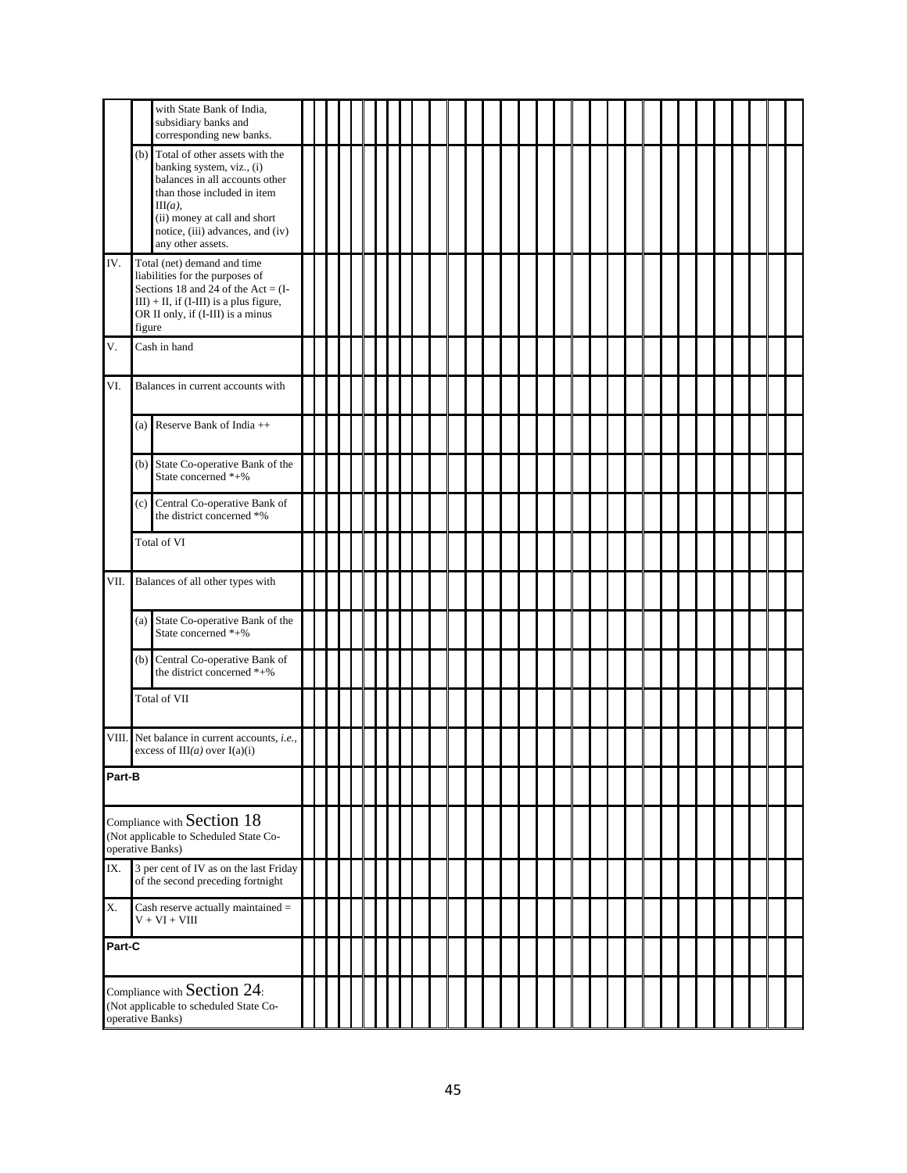|                                                                                           |        | with State Bank of India,<br>subsidiary banks and<br>corresponding new banks.                                                                                                                                                       |  |  |  |  |  |  |  |  |  |  |  |  |  |  |  |  |
|-------------------------------------------------------------------------------------------|--------|-------------------------------------------------------------------------------------------------------------------------------------------------------------------------------------------------------------------------------------|--|--|--|--|--|--|--|--|--|--|--|--|--|--|--|--|
|                                                                                           | (b)    | Total of other assets with the<br>banking system, viz., (i)<br>balances in all accounts other<br>than those included in item<br>$III(a)$ ,<br>(ii) money at call and short<br>notice, (iii) advances, and (iv)<br>any other assets. |  |  |  |  |  |  |  |  |  |  |  |  |  |  |  |  |
| IV.                                                                                       | figure | Total (net) demand and time<br>liabilities for the purposes of<br>Sections 18 and 24 of the Act = $(I -$<br>$III$ ) + II, if (I-III) is a plus figure,<br>OR II only, if (I-III) is a minus                                         |  |  |  |  |  |  |  |  |  |  |  |  |  |  |  |  |
| Cash in hand<br>V.                                                                        |        |                                                                                                                                                                                                                                     |  |  |  |  |  |  |  |  |  |  |  |  |  |  |  |  |
| VI.                                                                                       |        | Balances in current accounts with                                                                                                                                                                                                   |  |  |  |  |  |  |  |  |  |  |  |  |  |  |  |  |
|                                                                                           |        | (a) Reserve Bank of India $++$                                                                                                                                                                                                      |  |  |  |  |  |  |  |  |  |  |  |  |  |  |  |  |
|                                                                                           | (b)    | State Co-operative Bank of the<br>State concerned *+%                                                                                                                                                                               |  |  |  |  |  |  |  |  |  |  |  |  |  |  |  |  |
|                                                                                           | (c)    | Central Co-operative Bank of<br>the district concerned *%                                                                                                                                                                           |  |  |  |  |  |  |  |  |  |  |  |  |  |  |  |  |
|                                                                                           |        | Total of VI                                                                                                                                                                                                                         |  |  |  |  |  |  |  |  |  |  |  |  |  |  |  |  |
| VII.                                                                                      |        | Balances of all other types with                                                                                                                                                                                                    |  |  |  |  |  |  |  |  |  |  |  |  |  |  |  |  |
|                                                                                           |        | (a) State Co-operative Bank of the<br>State concerned *+%                                                                                                                                                                           |  |  |  |  |  |  |  |  |  |  |  |  |  |  |  |  |
|                                                                                           | (b)    | Central Co-operative Bank of<br>the district concerned *+%                                                                                                                                                                          |  |  |  |  |  |  |  |  |  |  |  |  |  |  |  |  |
|                                                                                           |        | Total of VII                                                                                                                                                                                                                        |  |  |  |  |  |  |  |  |  |  |  |  |  |  |  |  |
| VIII. Net balance in current accounts, i.e.,<br>excess of $III(a)$ over $I(a)(i)$         |        |                                                                                                                                                                                                                                     |  |  |  |  |  |  |  |  |  |  |  |  |  |  |  |  |
| Part-B                                                                                    |        |                                                                                                                                                                                                                                     |  |  |  |  |  |  |  |  |  |  |  |  |  |  |  |  |
| Compliance with Section 18<br>(Not applicable to Scheduled State Co-<br>operative Banks)  |        |                                                                                                                                                                                                                                     |  |  |  |  |  |  |  |  |  |  |  |  |  |  |  |  |
| 3 per cent of IV as on the last Friday<br>IX.<br>of the second preceding fortnight        |        |                                                                                                                                                                                                                                     |  |  |  |  |  |  |  |  |  |  |  |  |  |  |  |  |
| Χ.<br>Cash reserve actually maintained =<br>$V + VI + VIII$                               |        |                                                                                                                                                                                                                                     |  |  |  |  |  |  |  |  |  |  |  |  |  |  |  |  |
| Part-C                                                                                    |        |                                                                                                                                                                                                                                     |  |  |  |  |  |  |  |  |  |  |  |  |  |  |  |  |
| Compliance with Section 24:<br>(Not applicable to scheduled State Co-<br>operative Banks) |        |                                                                                                                                                                                                                                     |  |  |  |  |  |  |  |  |  |  |  |  |  |  |  |  |